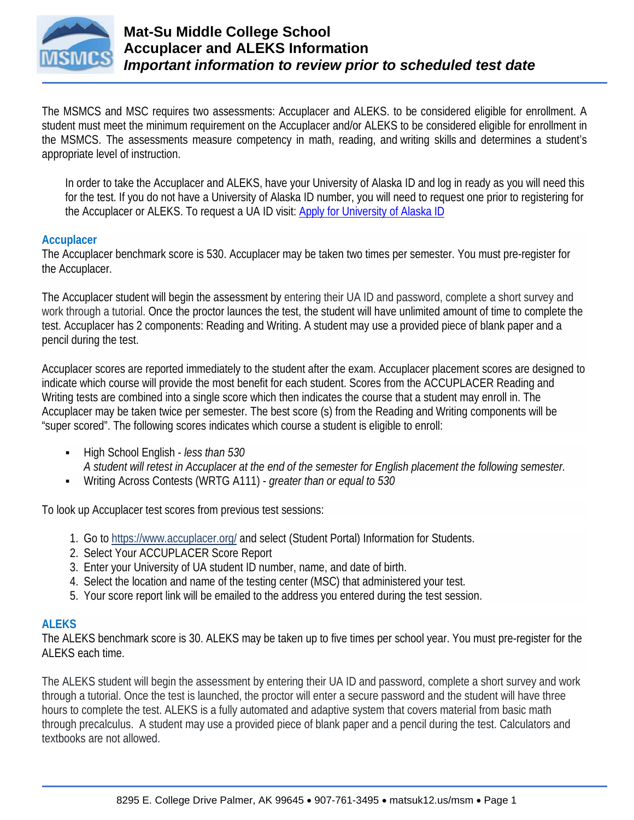

The MSMCS and MSC requires two assessments: Accuplacer and ALEKS. to be considered eligible for enrollment. A student must meet the minimum requirement on the Accuplacer and/or ALEKS to be considered eligible for enrollment in the MSMCS. The assessments measure competency in math, reading, and writing skills and determines a student's appropriate level of instruction.

In order to take the Accuplacer and ALEKS, have your University of Alaska ID and log in ready as you will need this for the test. If you do not have a University of Alaska ID number, you will need to request one prior to registering for the Accuplacer or ALEKS. To request a UA ID visit: [Apply for University of Alaska ID](https://matsu.alaska.edu/future-students/msmc.cshtml)

#### **Accuplacer**

The Accuplacer benchmark score is 530. Accuplacer may be taken two times per semester. You must pre-register for the Accuplacer.

The Accuplacer student will begin the assessment by entering their UA ID and password, complete a short survey and work through a tutorial. Once the proctor launces the test, the student will have unlimited amount of time to complete the test. Accuplacer has 2 components: Reading and Writing. A student may use a provided piece of blank paper and a pencil during the test.

Accuplacer scores are reported immediately to the student after the exam. Accuplacer placement scores are designed to indicate which course will provide the most benefit for each student. Scores from the ACCUPLACER Reading and Writing tests are combined into a single score which then indicates the course that a student may enroll in. The Accuplacer may be taken twice per semester. The best score (s) from the Reading and Writing components will be "super scored". The following scores indicates which course a student is eligible to enroll:

- High School English *less than 530 A student will retest in Accuplacer at the end of the semester for English placement the following semester.*
- Writing Across Contests (WRTG A111) *greater than or equal to 530*

To look up Accuplacer test scores from previous test sessions:

- 1. Go to <https://www.accuplacer.org/> and select (Student Portal) Information for Students.
- 2. Select Your ACCUPLACER Score Report
- 3. Enter your University of UA student ID number, name, and date of birth.
- 4. Select the location and name of the testing center (MSC) that administered your test.
- 5. Your score report link will be emailed to the address you entered during the test session.

#### **ALEKS**

The ALEKS benchmark score is 30. ALEKS may be taken up to five times per school year. You must pre-register for the ALEKS each time.

The ALEKS student will begin the assessment by entering their UA ID and password, complete a short survey and work through a tutorial. Once the test is launched, the proctor will enter a secure password and the student will have three hours to complete the test. ALEKS is a fully automated and adaptive system that covers material from basic math through precalculus. A student may use a provided piece of blank paper and a pencil during the test. Calculators and textbooks are not allowed.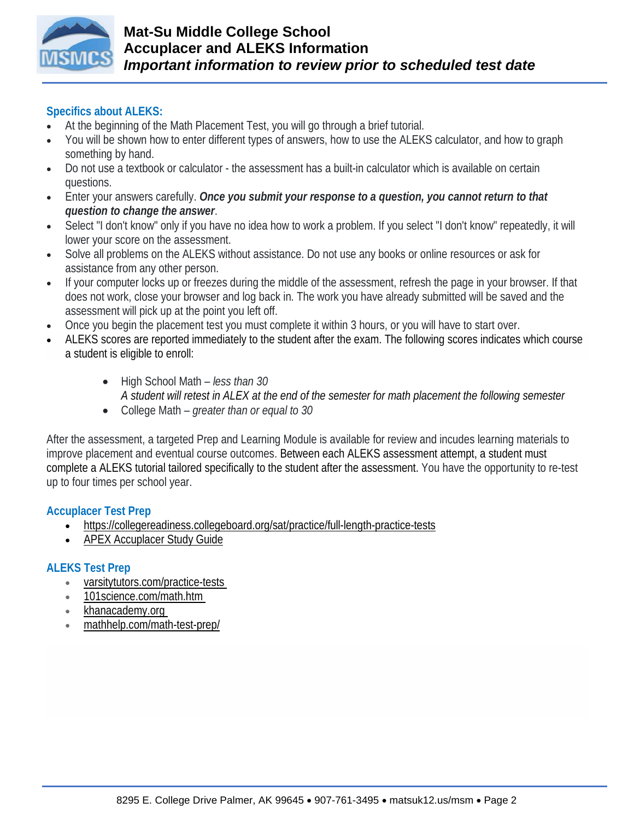

### **Specifics about ALEKS:**

- At the beginning of the Math Placement Test, you will go through a brief tutorial.
- You will be shown how to enter different types of answers, how to use the ALEKS calculator, and how to graph something by hand.
- Do not use a textbook or calculator the assessment has a built-in calculator which is available on certain questions.
- Enter your answers carefully. *Once you submit your response to a question, you cannot return to that question to change the answer*.
- Select "I don't know" only if you have no idea how to work a problem. If you select "I don't know" repeatedly, it will lower your score on the assessment.
- Solve all problems on the ALEKS without assistance. Do not use any books or online resources or ask for assistance from any other person.
- If your computer locks up or freezes during the middle of the assessment, refresh the page in your browser. If that does not work, close your browser and log back in. The work you have already submitted will be saved and the assessment will pick up at the point you left off.
- Once you begin the placement test you must complete it within 3 hours, or you will have to start over.
- ALEKS scores are reported immediately to the student after the exam. The following scores indicates which course a student is eligible to enroll:
	- High School Math *less than 30 A student will retest in ALEX at the end of the semester for math placement the following semester*
	- College Math *greater than or equal to 30*

After the assessment, a targeted Prep and Learning Module is available for review and incudes learning materials to improve placement and eventual course outcomes. Between each ALEKS assessment attempt, a student must complete a ALEKS tutorial tailored specifically to the student after the assessment. You have the opportunity to re-test up to four times per school year.

#### **Accuplacer Test Prep**

- <https://collegereadiness.collegeboard.org/sat/practice/full-length-practice-tests>
- [APEX Accuplacer Study Guide](https://www.matsuk12.us/cms/lib/AK01000953/Centricity/Domain/6915/Accuplacer%20Study%20Guide%20Flyer.pdf)

### **ALEKS Test Prep**

- [varsitytutors.com/practice-tests](https://www.varsitytutors.com/practice-tests)
- [101science.com/math.htm](http://101science.com/math.htm)
- [khanacademy.org](https://www.khanacademy.org/)
- [mathhelp.com/math-test-prep/](https://www.mathhelp.com/math-test-prep/)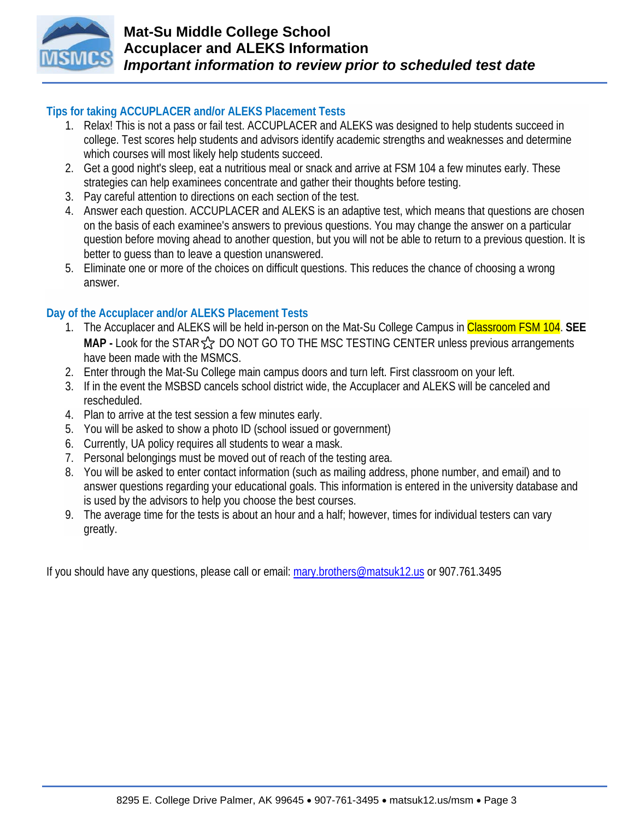

# **Tips for taking ACCUPLACER and/or ALEKS Placement Tests**

- 1. Relax! This is not a pass or fail test. ACCUPLACER and ALEKS was designed to help students succeed in college. Test scores help students and advisors identify academic strengths and weaknesses and determine which courses will most likely help students succeed.
- 2. Get a good night's sleep, eat a nutritious meal or snack and arrive at FSM 104 a few minutes early. These strategies can help examinees concentrate and gather their thoughts before testing.
- 3. Pay careful attention to directions on each section of the test.
- 4. Answer each question. ACCUPLACER and ALEKS is an adaptive test, which means that questions are chosen on the basis of each examinee's answers to previous questions. You may change the answer on a particular question before moving ahead to another question, but you will not be able to return to a previous question. It is better to guess than to leave a question unanswered.
- 5. Eliminate one or more of the choices on difficult questions. This reduces the chance of choosing a wrong answer.

# **Day of the Accuplacer and/or ALEKS Placement Tests**

- 1. The Accuplacer and ALEKS will be held in-person on the Mat-Su College Campus in Classroom FSM 104. **SEE**  MAP **-** Look for the STAR  $\frac{1}{2}$  DO NOT GO TO THE MSC TESTING CENTER unless previous arrangements have been made with the MSMCS.
- 2. Enter through the Mat-Su College main campus doors and turn left. First classroom on your left.
- 3. If in the event the MSBSD cancels school district wide, the Accuplacer and ALEKS will be canceled and rescheduled.
- 4. Plan to arrive at the test session a few minutes early.
- 5. You will be asked to show a photo ID (school issued or government)
- 6. Currently, UA policy requires all students to wear a mask.
- 7. Personal belongings must be moved out of reach of the testing area.
- 8. You will be asked to enter contact information (such as mailing address, phone number, and email) and to answer questions regarding your educational goals. This information is entered in the university database and is used by the advisors to help you choose the best courses.
- 9. The average time for the tests is about an hour and a half; however, times for individual testers can vary greatly.

If you should have any questions, please call or email: [mary.brothers@matsuk12.us](mailto:mary.brothers@matsuk12.us) or 907.761.3495